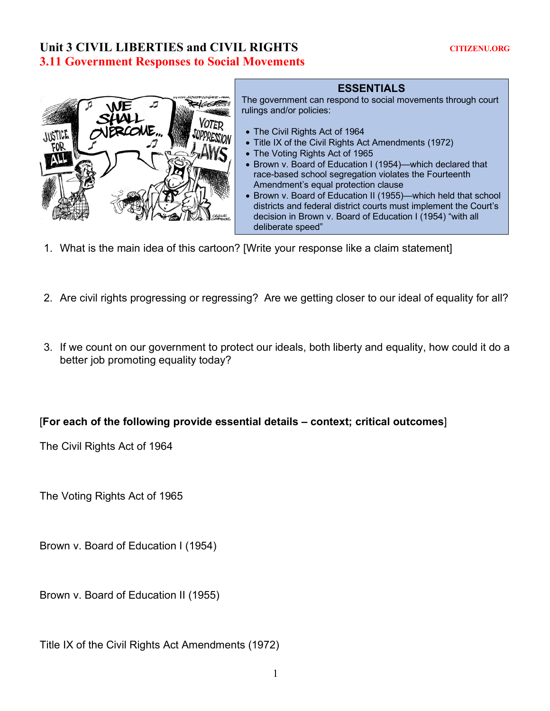# Unit 3 CIVIL LIBERTIES and CIVIL RIGHTS **CITIZENU.ORG 3.11 Government Responses to Social Movements**



#### **ESSENTIALS**

The government can respond to social movements through court rulings and/or policies:

- The Civil Rights Act of 1964
- Title IX of the Civil Rights Act Amendments (1972)
- The Voting Rights Act of 1965
- Brown v. Board of Education I (1954)—which declared that race-based school segregation violates the Fourteenth Amendment's equal protection clause
- Brown v. Board of Education II (1955)—which held that school districts and federal district courts must implement the Court's decision in Brown v. Board of Education I (1954) "with all deliberate speed"
- 1. What is the main idea of this cartoon? [Write your response like a claim statement]
- 2. Are civil rights progressing or regressing? Are we getting closer to our ideal of equality for all?
- 3. If we count on our government to protect our ideals, both liberty and equality, how could it do a better job promoting equality today?

### [**For each of the following provide essential details – context; critical outcomes**]

The Civil Rights Act of 1964

The Voting Rights Act of 1965

Brown v. Board of Education I (1954)

Brown v. Board of Education II (1955)

Title IX of the Civil Rights Act Amendments (1972)